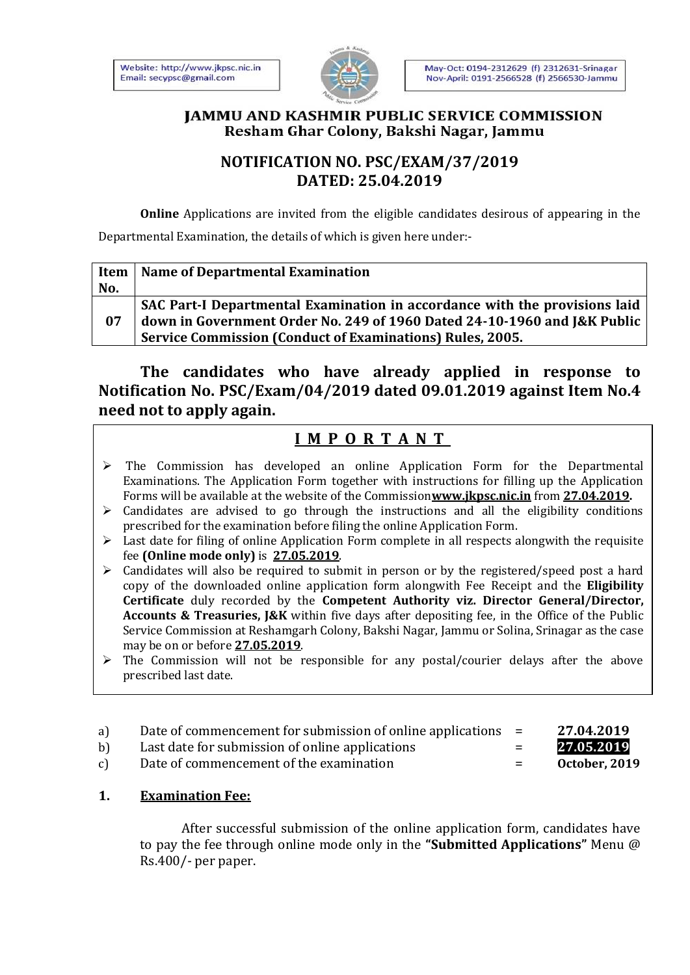

#### **JAMMU AND KASHMIR PUBLIC SERVICE COMMISSION** Resham Ghar Colony, Bakshi Nagar, Jammu

## **NOTIFICATION NO. PSC/EXAM/37/2019 DATED: 25.04.2019**

**Online** Applications are invited from the eligible candidates desirous of appearing in the Departmental Examination, the details of which is given here under:-

| Item | <b>Name of Departmental Examination</b>                                    |
|------|----------------------------------------------------------------------------|
| No.  |                                                                            |
|      | SAC Part-I Departmental Examination in accordance with the provisions laid |
| 07   | down in Government Order No. 249 of 1960 Dated 24-10-1960 and J&K Public   |
|      | <b>Service Commission (Conduct of Examinations) Rules, 2005.</b>           |

**The candidates who have already applied in response to Notification No. PSC/Exam/04/2019 dated 09.01.2019 against Item No.4 need not to apply again.**

# **I M P O R T A N T**

- $\triangleright$  The Commission has developed an online Application Form for the Departmental Examinations. The Application Form together with instructions for filling up the Application Forms will be available at the website of the Commission**www.jkpsc.nic.in** from **27.04.2019.**
- $\triangleright$  Candidates are advised to go through the instructions and all the eligibility conditions prescribed for the examination before filing the online Application Form.
- $\triangleright$  Last date for filing of online Application Form complete in all respects alongwith the requisite fee **(Online mode only)** is **27.05.2019**.
- Candidates will also be required to submit in person or by the registered/speed post a hard copy of the downloaded online application form alongwith Fee Receipt and the **Eligibility Certificate** duly recorded by the **Competent Authority viz. Director General/Director, Accounts & Treasuries, J&K** within five days after depositing fee, in the Office of the Public Service Commission at Reshamgarh Colony, Bakshi Nagar, Jammu or Solina, Srinagar as the case may be on or before **27.05.2019**.
- $\triangleright$  The Commission will not be responsible for any postal/courier delays after the above prescribed last date.
- a) Date of commencement for submission of online applications = **27.04.2019**
- b) Last date for submission of online applications = **27.05.2019**
- c) Date of commencement of the examination = **October, 2019**

## **1. Examination Fee:**

After successful submission of the online application form, candidates have to pay the fee through online mode only in the **"Submitted Applications"** Menu @ Rs.400/- per paper.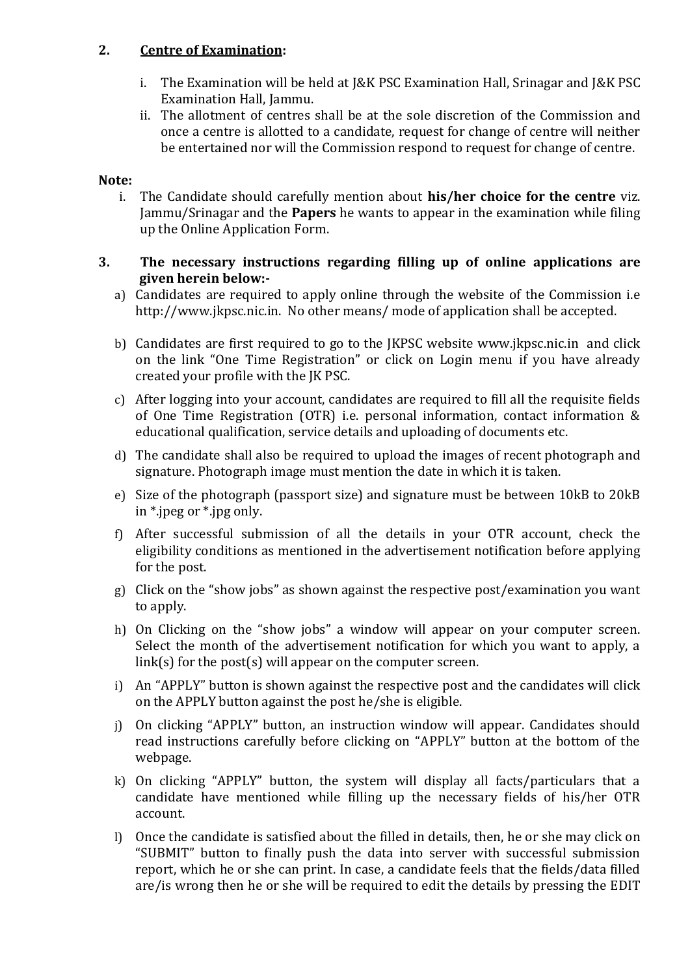## **2. Centre of Examination:**

- i. The Examination will be held at J&K PSC Examination Hall, Srinagar and J&K PSC Examination Hall, Jammu.
- ii. The allotment of centres shall be at the sole discretion of the Commission and once a centre is allotted to a candidate, request for change of centre will neither be entertained nor will the Commission respond to request for change of centre.

#### **Note:**

i. The Candidate should carefully mention about **his/her choice for the centre** viz. Jammu/Srinagar and the **Papers** he wants to appear in the examination while filing up the Online Application Form.

#### **3. The necessary instructions regarding filling up of online applications are given herein below:-**

- a) Candidates are required to apply online through the website of the Commission i.e [http://www.jkpsc.nic.in.](http://www.jkpsc.nic.in/) No other means/ mode of application shall be accepted.
- b) Candidates are first required to go to the JKPSC website [www.jkpsc.nic.in](http://www.jkpsc.nic.in/) and click on the link "One Time Registration" or click on Login menu if you have already created your profile with the JK PSC.
- c) After logging into your account, candidates are required to fill all the requisite fields of One Time Registration (OTR) i.e. personal information, contact information & educational qualification, service details and uploading of documents etc.
- d) The candidate shall also be required to upload the images of recent photograph and signature. Photograph image must mention the date in which it is taken.
- e) Size of the photograph (passport size) and signature must be between 10kB to 20kB in \*.jpeg or \*.jpg only.
- f) After successful submission of all the details in your OTR account, check the eligibility conditions as mentioned in the advertisement notification before applying for the post.
- g) Click on the "show jobs" as shown against the respective post/examination you want to apply.
- h) On Clicking on the "show jobs" a window will appear on your computer screen. Select the month of the advertisement notification for which you want to apply, a link(s) for the post(s) will appear on the computer screen.
- i) An "APPLY" button is shown against the respective post and the candidates will click on the APPLY button against the post he/she is eligible.
- j) On clicking "APPLY" button, an instruction window will appear. Candidates should read instructions carefully before clicking on "APPLY" button at the bottom of the webpage.
- k) On clicking "APPLY" button, the system will display all facts/particulars that a candidate have mentioned while filling up the necessary fields of his/her OTR account.
- l) Once the candidate is satisfied about the filled in details, then, he or she may click on "SUBMIT" button to finally push the data into server with successful submission report, which he or she can print. In case, a candidate feels that the fields/data filled are/is wrong then he or she will be required to edit the details by pressing the EDIT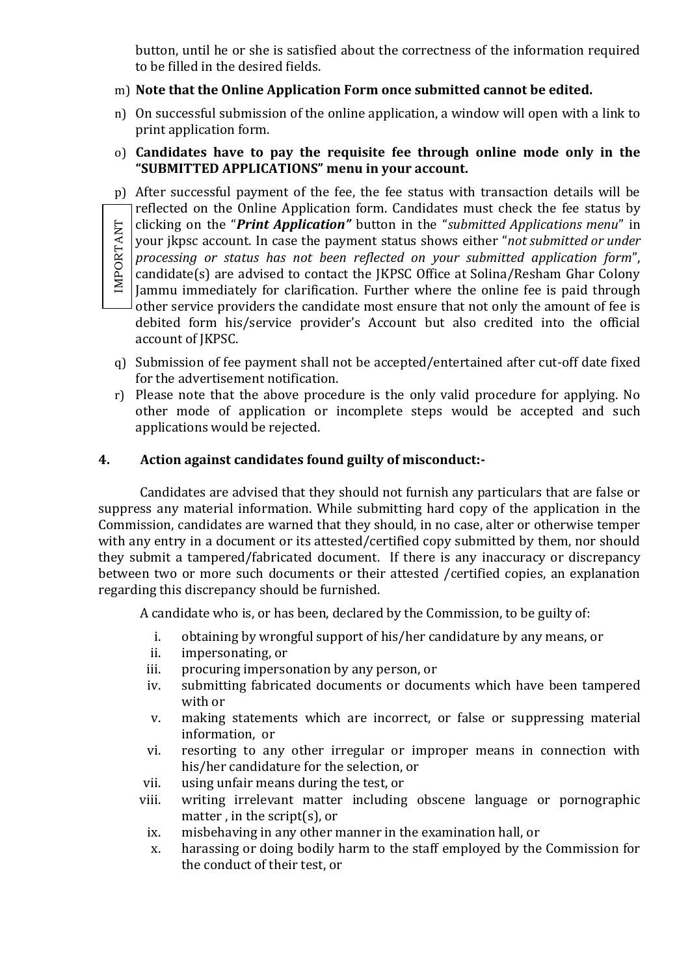button, until he or she is satisfied about the correctness of the information required to be filled in the desired fields.

- m) **Note that the Online Application Form once submitted cannot be edited.**
- n) On successful submission of the online application, a window will open with a link to print application form.
- o) **Candidates have to pay the requisite fee through online mode only in the "SUBMITTED APPLICATIONS" menu in your account.**

p) After successful payment of the fee, the fee status with transaction details will be reflected on the Online Application form. Candidates must check the fee status by clicking on the "*Print Application"* button in the "*submitted Applications menu*" in IMPORTANTIMPORTANT your jkpsc account. In case the payment status shows either "*not submitted or under processing or status has not been reflected on your submitted application form*", candidate(s) are advised to contact the JKPSC Office at Solina/Resham Ghar Colony Jammu immediately for clarification. Further where the online fee is paid through other service providers the candidate most ensure that not only the amount of fee is debited form his/service provider's Account but also credited into the official account of JKPSC.

- q) Submission of fee payment shall not be accepted/entertained after cut-off date fixed for the advertisement notification.
- r) Please note that the above procedure is the only valid procedure for applying. No other mode of application or incomplete steps would be accepted and such applications would be rejected.

## **4. Action against candidates found guilty of misconduct:-**

Candidates are advised that they should not furnish any particulars that are false or suppress any material information. While submitting hard copy of the application in the Commission, candidates are warned that they should, in no case, alter or otherwise temper with any entry in a document or its attested/certified copy submitted by them, nor should they submit a tampered/fabricated document. If there is any inaccuracy or discrepancy between two or more such documents or their attested /certified copies, an explanation regarding this discrepancy should be furnished.

A candidate who is, or has been, declared by the Commission, to be guilty of:

- i. obtaining by wrongful support of his/her candidature by any means, or
- ii. impersonating, or
- iii. procuring impersonation by any person, or
- iv. submitting fabricated documents or documents which have been tampered with or
- v. making statements which are incorrect, or false or suppressing material information, or
- vi. resorting to any other irregular or improper means in connection with his/her candidature for the selection, or
- vii. using unfair means during the test, or
- viii. writing irrelevant matter including obscene language or pornographic matter , in the script(s), or
	- ix. misbehaving in any other manner in the examination hall, or
	- x. harassing or doing bodily harm to the staff employed by the Commission for the conduct of their test, or